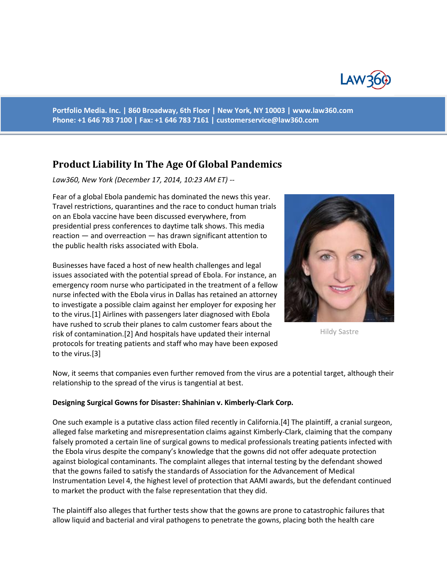

**Portfolio Media. Inc. | 860 Broadway, 6th Floor | New York, NY 10003 | www.law360.com Phone: +1 646 783 7100 | Fax: +1 646 783 7161 | [customerservice@law360.com](mailto:customerservice@law360.com)**

# **Product Liability In The Age Of Global Pandemics**

*Law360, New York (December 17, 2014, 10:23 AM ET) --*

Fear of a global Ebola pandemic has dominated the news this year. Travel restrictions, quarantines and the race to conduct human trials on an Ebola vaccine have been discussed everywhere, from presidential press conferences to daytime talk shows. This media reaction — and overreaction — has drawn significant attention to the public health risks associated with Ebola.

Businesses have faced a host of new health challenges and legal issues associated with the potential spread of Ebola. For instance, an emergency room nurse who participated in the treatment of a fellow nurse infected with the Ebola virus in Dallas has retained an attorney to investigate a possible claim against her employer for exposing her to the virus.[1] Airlines with passengers later diagnosed with Ebola have rushed to scrub their planes to calm customer fears about the risk of contamination.[2] And hospitals have updated their internal protocols for treating patients and staff who may have been exposed to the virus.[3]



Hildy Sastre

Now, it seems that companies even further removed from the virus are a potential target, although their relationship to the spread of the virus is tangential at best.

#### **Designing Surgical Gowns for Disaster: Shahinian v. Kimberly-Clark Corp.**

One such example is a putative class action filed recently in California.[4] The plaintiff, a cranial surgeon, alleged false marketing and misrepresentation claims against Kimberly-Clark, claiming that the company falsely promoted a certain line of surgical gowns to medical professionals treating patients infected with the Ebola virus despite the company's knowledge that the gowns did not offer adequate protection against biological contaminants. The complaint alleges that internal testing by the defendant showed that the gowns failed to satisfy the standards of Association for the Advancement of Medical Instrumentation Level 4, the highest level of protection that AAMI awards, but the defendant continued to market the product with the false representation that they did.

The plaintiff also alleges that further tests show that the gowns are prone to catastrophic failures that allow liquid and bacterial and viral pathogens to penetrate the gowns, placing both the health care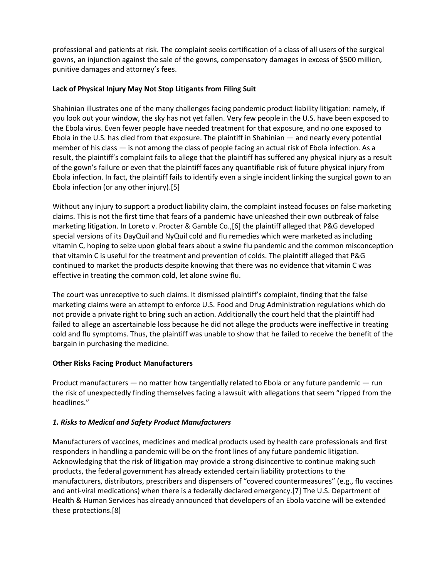professional and patients at risk. The complaint seeks certification of a class of all users of the surgical gowns, an injunction against the sale of the gowns, compensatory damages in excess of \$500 million, punitive damages and attorney's fees.

### **Lack of Physical Injury May Not Stop Litigants from Filing Suit**

Shahinian illustrates one of the many challenges facing pandemic product liability litigation: namely, if you look out your window, the sky has not yet fallen. Very few people in the U.S. have been exposed to the Ebola virus. Even fewer people have needed treatment for that exposure, and no one exposed to Ebola in the U.S. has died from that exposure. The plaintiff in Shahinian — and nearly every potential member of his class — is not among the class of people facing an actual risk of Ebola infection. As a result, the plaintiff's complaint fails to allege that the plaintiff has suffered any physical injury as a result of the gown's failure or even that the plaintiff faces any quantifiable risk of future physical injury from Ebola infection. In fact, the plaintiff fails to identify even a single incident linking the surgical gown to an Ebola infection (or any other injury).[5]

Without any injury to support a product liability claim, the complaint instead focuses on false marketing claims. This is not the first time that fears of a pandemic have unleashed their own outbreak of false marketing litigation. In Loreto v. Procter & Gamble Co.,[6] the plaintiff alleged that P&G developed special versions of its DayQuil and NyQuil cold and flu remedies which were marketed as including vitamin C, hoping to seize upon global fears about a swine flu pandemic and the common misconception that vitamin C is useful for the treatment and prevention of colds. The plaintiff alleged that P&G continued to market the products despite knowing that there was no evidence that vitamin C was effective in treating the common cold, let alone swine flu.

The court was unreceptive to such claims. It dismissed plaintiff's complaint, finding that the false marketing claims were an attempt to enforce U.S. Food and Drug Administration regulations which do not provide a private right to bring such an action. Additionally the court held that the plaintiff had failed to allege an ascertainable loss because he did not allege the products were ineffective in treating cold and flu symptoms. Thus, the plaintiff was unable to show that he failed to receive the benefit of the bargain in purchasing the medicine.

# **Other Risks Facing Product Manufacturers**

Product manufacturers — no matter how tangentially related to Ebola or any future pandemic — run the risk of unexpectedly finding themselves facing a lawsuit with allegations that seem "ripped from the headlines."

# *1. Risks to Medical and Safety Product Manufacturers*

Manufacturers of vaccines, medicines and medical products used by health care professionals and first responders in handling a pandemic will be on the front lines of any future pandemic litigation. Acknowledging that the risk of litigation may provide a strong disincentive to continue making such products, the federal government has already extended certain liability protections to the manufacturers, distributors, prescribers and dispensers of "covered countermeasures" (e.g., flu vaccines and anti-viral medications) when there is a federally declared emergency.[7] The U.S. Department of Health & Human Services has already announced that developers of an Ebola vaccine will be extended these protections.[8]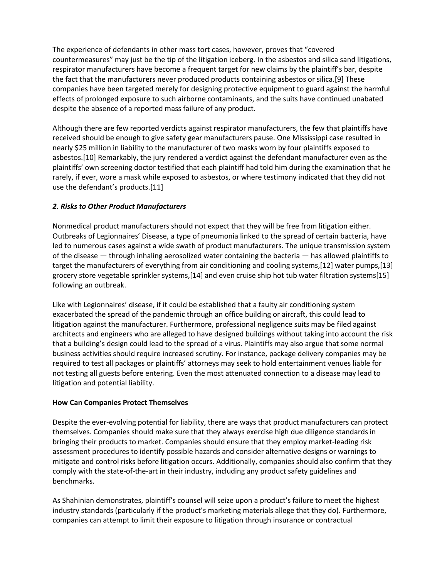The experience of defendants in other mass tort cases, however, proves that "covered countermeasures" may just be the tip of the litigation iceberg. In the asbestos and silica sand litigations, respirator manufacturers have become a frequent target for new claims by the plaintiff's bar, despite the fact that the manufacturers never produced products containing asbestos or silica.[9] These companies have been targeted merely for designing protective equipment to guard against the harmful effects of prolonged exposure to such airborne contaminants, and the suits have continued unabated despite the absence of a reported mass failure of any product.

Although there are few reported verdicts against respirator manufacturers, the few that plaintiffs have received should be enough to give safety gear manufacturers pause. One Mississippi case resulted in nearly \$25 million in liability to the manufacturer of two masks worn by four plaintiffs exposed to asbestos.[10] Remarkably, the jury rendered a verdict against the defendant manufacturer even as the plaintiffs' own screening doctor testified that each plaintiff had told him during the examination that he rarely, if ever, wore a mask while exposed to asbestos, or where testimony indicated that they did not use the defendant's products.[11]

# *2. Risks to Other Product Manufacturers*

Nonmedical product manufacturers should not expect that they will be free from litigation either. Outbreaks of Legionnaires' Disease, a type of pneumonia linked to the spread of certain bacteria, have led to numerous cases against a wide swath of product manufacturers. The unique transmission system of the disease — through inhaling aerosolized water containing the bacteria — has allowed plaintiffs to target the manufacturers of everything from air conditioning and cooling systems,[12] water pumps,[13] grocery store vegetable sprinkler systems,[14] and even cruise ship hot tub water filtration systems[15] following an outbreak.

Like with Legionnaires' disease, if it could be established that a faulty air conditioning system exacerbated the spread of the pandemic through an office building or aircraft, this could lead to litigation against the manufacturer. Furthermore, professional negligence suits may be filed against architects and engineers who are alleged to have designed buildings without taking into account the risk that a building's design could lead to the spread of a virus. Plaintiffs may also argue that some normal business activities should require increased scrutiny. For instance, package delivery companies may be required to test all packages or plaintiffs' attorneys may seek to hold entertainment venues liable for not testing all guests before entering. Even the most attenuated connection to a disease may lead to litigation and potential liability.

#### **How Can Companies Protect Themselves**

Despite the ever-evolving potential for liability, there are ways that product manufacturers can protect themselves. Companies should make sure that they always exercise high due diligence standards in bringing their products to market. Companies should ensure that they employ market-leading risk assessment procedures to identify possible hazards and consider alternative designs or warnings to mitigate and control risks before litigation occurs. Additionally, companies should also confirm that they comply with the state-of-the-art in their industry, including any product safety guidelines and benchmarks.

As Shahinian demonstrates, plaintiff's counsel will seize upon a product's failure to meet the highest industry standards (particularly if the product's marketing materials allege that they do). Furthermore, companies can attempt to limit their exposure to litigation through insurance or contractual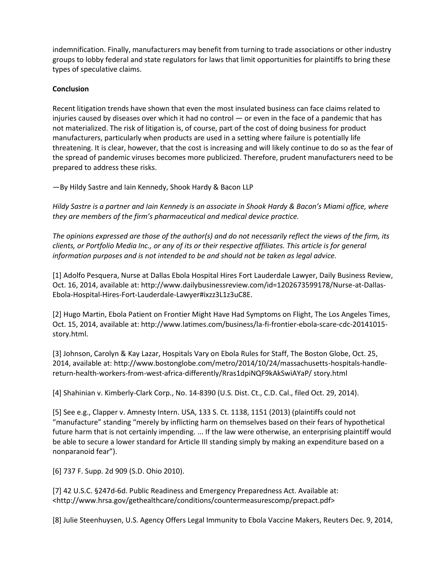indemnification. Finally, manufacturers may benefit from turning to trade associations or other industry groups to lobby federal and state regulators for laws that limit opportunities for plaintiffs to bring these types of speculative claims.

### **Conclusion**

Recent litigation trends have shown that even the most insulated business can face claims related to injuries caused by diseases over which it had no control  $-$  or even in the face of a pandemic that has not materialized. The risk of litigation is, of course, part of the cost of doing business for product manufacturers, particularly when products are used in a setting where failure is potentially life threatening. It is clear, however, that the cost is increasing and will likely continue to do so as the fear of the spread of pandemic viruses becomes more publicized. Therefore, prudent manufacturers need to be prepared to address these risks.

—By Hildy Sastre and Iain Kennedy, Shook Hardy & Bacon LLP

*Hildy Sastre is a partner and Iain Kennedy is an associate in Shook Hardy & Bacon's Miami office, where they are members of the firm's pharmaceutical and medical device practice.*

*The opinions expressed are those of the author(s) and do not necessarily reflect the views of the firm, its clients, or Portfolio Media Inc., or any of its or their respective affiliates. This article is for general information purposes and is not intended to be and should not be taken as legal advice.*

[1] Adolfo Pesquera, Nurse at Dallas Ebola Hospital Hires Fort Lauderdale Lawyer, Daily Business Review, Oct. 16, 2014, available at: http://www.dailybusinessreview.com/id=1202673599178/Nurse-at-Dallas-Ebola-Hospital-Hires-Fort-Lauderdale-Lawyer#ixzz3L1z3uC8E.

[2] Hugo Martin, Ebola Patient on Frontier Might Have Had Symptoms on Flight, The Los Angeles Times, Oct. 15, 2014, available at: http://www.latimes.com/business/la-fi-frontier-ebola-scare-cdc-20141015 story.html.

[3] Johnson, Carolyn & Kay Lazar, Hospitals Vary on Ebola Rules for Staff, The Boston Globe, Oct. 25, 2014, available at: http://www.bostonglobe.com/metro/2014/10/24/massachusetts-hospitals-handlereturn-health-workers-from-west-africa-differently/Rras1dpiNQF9kAkSwiAYaP/ story.html

[4] Shahinian v. Kimberly-Clark Corp., No. 14-8390 (U.S. Dist. Ct., C.D. Cal., filed Oct. 29, 2014).

[5] See e.g., Clapper v. Amnesty Intern. USA, 133 S. Ct. 1138, 1151 (2013) (plaintiffs could not "manufacture" standing "merely by inflicting harm on themselves based on their fears of hypothetical future harm that is not certainly impending. ... If the law were otherwise, an enterprising plaintiff would be able to secure a lower standard for Article III standing simply by making an expenditure based on a nonparanoid fear").

[6] 737 F. Supp. 2d 909 (S.D. Ohio 2010).

[7] 42 U.S.C. §247d-6d. Public Readiness and Emergency Preparedness Act. Available at: <http://www.hrsa.gov/gethealthcare/conditions/countermeasurescomp/prepact.pdf>

[8] Julie Steenhuysen, U.S. Agency Offers Legal Immunity to Ebola Vaccine Makers, Reuters Dec. 9, 2014,